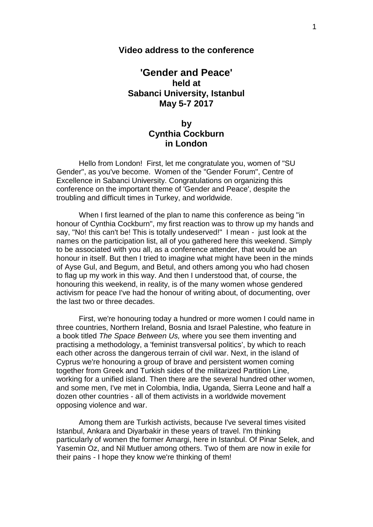## **Video address to the conference**

## **'Gender and Peace' held at Sabanci University, Istanbul May 5-7 2017**

## **by Cynthia Cockburn in London**

Hello from London! First, let me congratulate you, women of "SU Gender", as you've become. Women of the "Gender Forum", Centre of Excellence in Sabanci University. Congratulations on organizing this conference on the important theme of 'Gender and Peace', despite the troubling and difficult times in Turkey, and worldwide.

When I first learned of the plan to name this conference as being "in honour of Cynthia Cockburn", my first reaction was to throw up my hands and say, "No! this can't be! This is totally undeserved!" I mean - just look at the names on the participation list, all of you gathered here this weekend. Simply to be associated with you all, as a conference attender, that would be an honour in itself. But then I tried to imagine what might have been in the minds of Ayse Gul, and Begum, and Betul, and others among you who had chosen to flag up my work in this way. And then I understood that, of course, the honouring this weekend, in reality, is of the many women whose gendered activism for peace I've had the honour of writing about, of documenting, over the last two or three decades.

First, we're honouring today a hundred or more women I could name in three countries, Northern Ireland, Bosnia and Israel Palestine, who feature in a book titled *The Space Between Us,* where you see them inventing and practising a methodology, a 'feminist transversal politics', by which to reach each other across the dangerous terrain of civil war. Next, in the island of Cyprus we're honouring a group of brave and persistent women coming together from Greek and Turkish sides of the militarized Partition Line, working for a unified island. Then there are the several hundred other women, and some men, I've met in Colombia, India, Uganda, Sierra Leone and half a dozen other countries - all of them activists in a worldwide movement opposing violence and war.

Among them are Turkish activists, because I've several times visited Istanbul, Ankara and Diyarbakir in these years of travel. I'm thinking particularly of women the former Amargi, here in Istanbul. Of Pinar Selek, and Yasemin Oz, and Nil Mutluer among others. Two of them are now in exile for their pains - I hope they know we're thinking of them!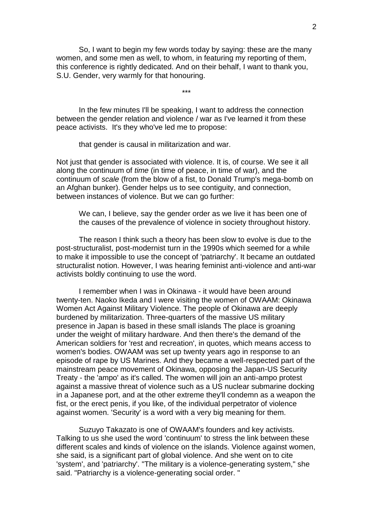So, I want to begin my few words today by saying: these are the many women, and some men as well, to whom, in featuring my reporting of them, this conference is rightly dedicated. And on their behalf, I want to thank you, S.U. Gender, very warmly for that honouring.

\*\*\*

In the few minutes I'll be speaking, I want to address the connection between the gender relation and violence / war as I've learned it from these peace activists. It's they who've led me to propose:

that gender is causal in militarization and war.

Not just that gender is associated with violence. It is, of course. We see it all along the continuum of *time* (in time of peace, in time of war), and the continuum of *scale* (from the blow of a fist, to Donald Trump's mega-bomb on an Afghan bunker). Gender helps us to see contiguity, and connection, between instances of violence. But we can go further:

We can, I believe, say the gender order as we live it has been one of the causes of the prevalence of violence in society throughout history.

The reason I think such a theory has been slow to evolve is due to the post-structuralist, post-modernist turn in the 1990s which seemed for a while to make it impossible to use the concept of 'patriarchy'. It became an outdated structuralist notion. However, I was hearing feminist anti-violence and anti-war activists boldly continuing to use the word.

I remember when I was in Okinawa - it would have been around twenty-ten. Naoko Ikeda and I were visiting the women of OWAAM: Okinawa Women Act Against Military Violence. The people of Okinawa are deeply burdened by militarization. Three-quarters of the massive US military presence in Japan is based in these small islands The place is groaning under the weight of military hardware. And then there's the demand of the American soldiers for 'rest and recreation', in quotes, which means access to women's bodies. OWAAM was set up twenty years ago in response to an episode of rape by US Marines. And they became a well-respected part of the mainstream peace movement of Okinawa, opposing the Japan-US Security Treaty - the 'ampo' as it's called. The women will join an anti-ampo protest against a massive threat of violence such as a US nuclear submarine docking in a Japanese port, and at the other extreme they'll condemn as a weapon the fist, or the erect penis, if you like, of the individual perpetrator of violence against women. 'Security' is a word with a very big meaning for them.

Suzuyo Takazato is one of OWAAM's founders and key activists. Talking to us she used the word 'continuum' to stress the link between these different scales and kinds of violence on the islands. Violence against women, she said, is a significant part of global violence. And she went on to cite 'system', and 'patriarchy'. "The military is a violence-generating system," she said. "Patriarchy is a violence-generating social order. "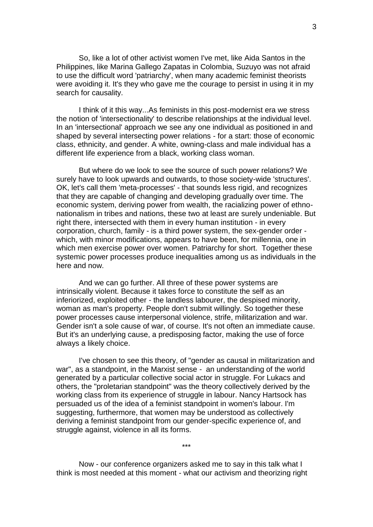So, like a lot of other activist women I've met, like Aida Santos in the Philippines, like Marina Gallego Zapatas in Colombia, Suzuyo was not afraid to use the difficult word 'patriarchy', when many academic feminist theorists were avoiding it. It's they who gave me the courage to persist in using it in my search for causality.

I think of it this way...As feminists in this post-modernist era we stress the notion of 'intersectionality' to describe relationships at the individual level. In an 'intersectional' approach we see any one individual as positioned in and shaped by several intersecting power relations - for a start: those of economic class, ethnicity, and gender. A white, owning-class and male individual has a different life experience from a black, working class woman.

But where do we look to see the source of such power relations? We surely have to look upwards and outwards, to those society-wide 'structures'. OK, let's call them 'meta-processes' - that sounds less rigid, and recognizes that they are capable of changing and developing gradually over time. The economic system, deriving power from wealth, the racializing power of ethno nationalism in tribes and nations, these two at least are surely undeniable. But right there, intersected with them in every human institution - in every corporation, church, family - is a third power system, the sex-gender order which, with minor modifications, appears to have been, for millennia, one in which men exercise power over women. Patriarchy for short. Together these systemic power processes produce inequalities among us as individuals in the here and now.

And we can go further. All three of these power systems are intrinsically violent. Because it takes force to constitute the self as an inferiorized, exploited other - the landless labourer, the despised minority, woman as man's property. People don't submit willingly. So together these power processes cause interpersonal violence, strife, militarization and war. Gender isn't a sole cause of war, of course. It's not often an immediate cause. But it's an underlying cause, a predisposing factor, making the use of force always a likely choice.

I've chosen to see this theory, of "gender as causal in militarization and war", as a standpoint, in the Marxist sense - an understanding of the world generated by a particular collective social actor in struggle. For Lukacs and others, the "proletarian standpoint" was the theory collectively derived by the working class from its experience of struggle in labour. Nancy Hartsock has persuaded us of the idea of a feminist standpoint in women's labour. I'm suggesting, furthermore, that women may be understood as collectively deriving a feminist standpoint from our gender-specific experience of, and struggle against, violence in all its forms.

Now - our conference organizers asked me to say in this talk what I think is most needed at this moment - what our activism and theorizing right

\*\*\*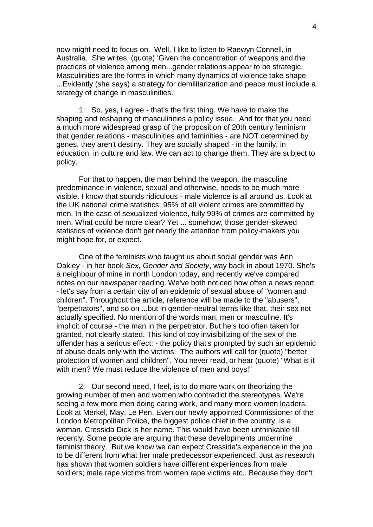now might need to focus on. Well, I like to listen to Raewyn Connell, in Australia. She writes, (quote) 'Given the concentration of weapons and the practices of violence among men...gender relations appear to be strategic. Masculinities are the forms in which many dynamics of violence take shape ...Evidently (she says) a strategy for demilitarization and peace must include a strategy of change in masculinities.'

1: So, yes, I agree - that's the first thing. We have to make the shaping and reshaping of masculinities a policy issue. And for that you need a much more widespread grasp of the proposition of 20th century feminism that gender relations - masculinities and feminities - are NOT determined by genes, they aren't destiny. They are socially shaped - in the family, in education, in culture and law. We can act to change them. They are subject to policy.

For that to happen, the man behind the weapon, the masculine predominance in violence, sexual and otherwise, needs to be much more visible. I know that sounds ridiculous - male violence is all around us. Look at the UK national crime statistics: 95% of all violent crimes are committed by men. In the case of sexualized violence, fully 99% of crimes are committed by men. What could be more clear? Yet ... somehow, those gender-skewed statistics of violence don't get nearly the attention from policy-makers you might hope for, or expect.

One of the feminists who taught us about social gender was Ann Oakley - in her book *Sex, Gender and Society*, way back in about 1970. She's a neighbour of mine in north London today, and recently we've compared notes on our newspaper reading. We've both noticed how often a news report - let's say from a certain city of an epidemic of sexual abuse of "women and children". Throughout the article, reference will be made to the "abusers", "perpetrators", and so on ...but in gender-neutral terms like that, their sex not actually specified. No mention of the words man, men or masculine. It's implicit of course - the man in the perpetrator. But he's too often taken for granted, not clearly stated. This kind of coy invisibilizing of the sex of the offender has a serious effect: - the policy that's prompted by such an epidemic of abuse deals only with the victims. The authors will call for (quote) "better protection of women and children". You never read, or hear (quote) "What is it with men? We must reduce the violence of men and boys!"

2: Our second need, I feel, is to do more work on theorizing the growing number of men and women who contradict the stereotypes. We're seeing a few more men doing caring work, and many more women leaders. Look at Merkel, May, Le Pen. Even our newly appointed Commissioner of the London Metropolitan Police, the biggest police chief in the country, is a woman. Cressida Dick is her name. This would have been unthinkable till recently. Some people are arguing that these developments undermine feminist theory. But we know we can expect Cressida's experience in the job to be different from what her male predecessor experienced. Just as research has shown that women soldiers have different experiences from male soldiers; male rape victims from women rape victims etc.. Because they don't